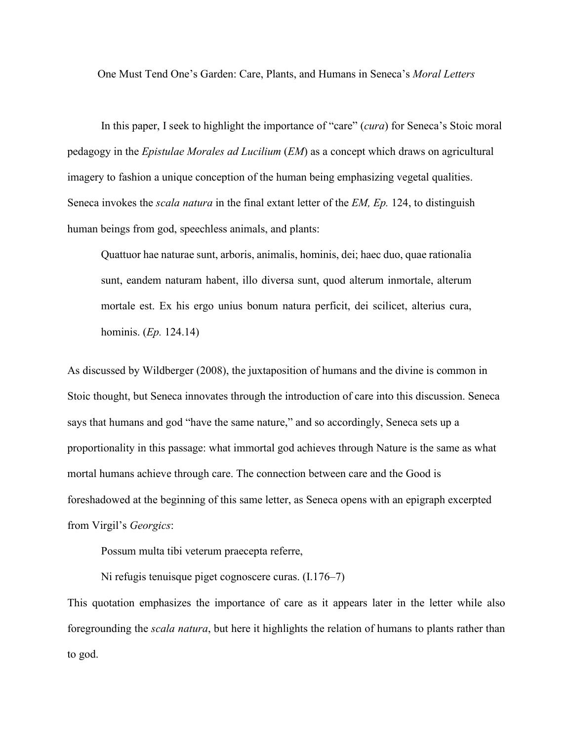One Must Tend One's Garden: Care, Plants, and Humans in Seneca's *Moral Letters*

In this paper, I seek to highlight the importance of "care" (*cura*) for Seneca's Stoic moral pedagogy in the *Epistulae Morales ad Lucilium* (*EM*) as a concept which draws on agricultural imagery to fashion a unique conception of the human being emphasizing vegetal qualities. Seneca invokes the *scala natura* in the final extant letter of the *EM, Ep.* 124, to distinguish human beings from god, speechless animals, and plants:

Quattuor hae naturae sunt, arboris, animalis, hominis, dei; haec duo, quae rationalia sunt, eandem naturam habent, illo diversa sunt, quod alterum inmortale, alterum mortale est. Ex his ergo unius bonum natura perficit, dei scilicet, alterius cura, hominis. (*Ep.* 124.14)

As discussed by Wildberger (2008), the juxtaposition of humans and the divine is common in Stoic thought, but Seneca innovates through the introduction of care into this discussion. Seneca says that humans and god "have the same nature," and so accordingly, Seneca sets up a proportionality in this passage: what immortal god achieves through Nature is the same as what mortal humans achieve through care. The connection between care and the Good is foreshadowed at the beginning of this same letter, as Seneca opens with an epigraph excerpted from Virgil's *Georgics*:

Possum multa tibi veterum praecepta referre,

Ni refugis tenuisque piget cognoscere curas. (I.176–7)

This quotation emphasizes the importance of care as it appears later in the letter while also foregrounding the *scala natura*, but here it highlights the relation of humans to plants rather than to god.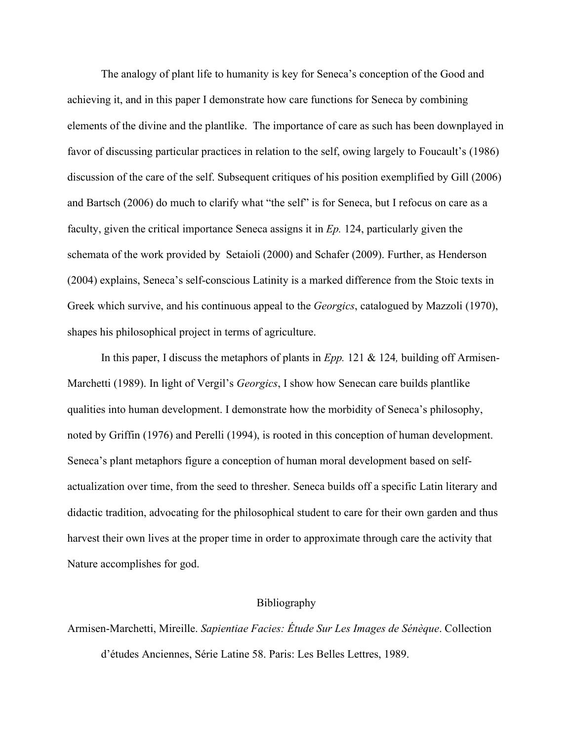The analogy of plant life to humanity is key for Seneca's conception of the Good and achieving it, and in this paper I demonstrate how care functions for Seneca by combining elements of the divine and the plantlike. The importance of care as such has been downplayed in favor of discussing particular practices in relation to the self, owing largely to Foucault's (1986) discussion of the care of the self. Subsequent critiques of his position exemplified by Gill (2006) and Bartsch (2006) do much to clarify what "the self" is for Seneca, but I refocus on care as a faculty, given the critical importance Seneca assigns it in *Ep.* 124, particularly given the schemata of the work provided by Setaioli (2000) and Schafer (2009). Further, as Henderson (2004) explains, Seneca's self-conscious Latinity is a marked difference from the Stoic texts in Greek which survive, and his continuous appeal to the *Georgics*, catalogued by Mazzoli (1970), shapes his philosophical project in terms of agriculture.

In this paper, I discuss the metaphors of plants in *Epp.* 121 & 124*,* building off Armisen-Marchetti (1989). In light of Vergil's *Georgics*, I show how Senecan care builds plantlike qualities into human development. I demonstrate how the morbidity of Seneca's philosophy, noted by Griffin (1976) and Perelli (1994), is rooted in this conception of human development. Seneca's plant metaphors figure a conception of human moral development based on selfactualization over time, from the seed to thresher. Seneca builds off a specific Latin literary and didactic tradition, advocating for the philosophical student to care for their own garden and thus harvest their own lives at the proper time in order to approximate through care the activity that Nature accomplishes for god.

## Bibliography

Armisen-Marchetti, Mireille. *Sapientiae Facies: Étude Sur Les Images de Sénèque*. Collection d'études Anciennes, Série Latine 58. Paris: Les Belles Lettres, 1989.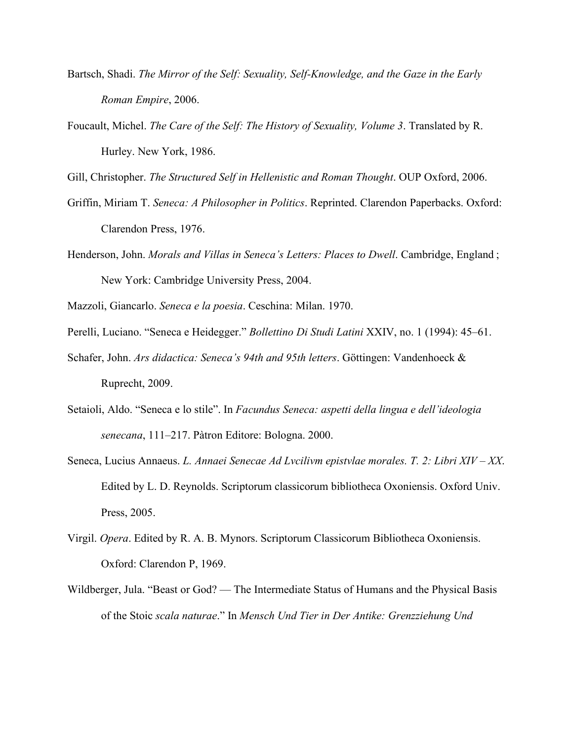- Bartsch, Shadi. *The Mirror of the Self: Sexuality, Self-Knowledge, and the Gaze in the Early Roman Empire*, 2006.
- Foucault, Michel. *The Care of the Self: The History of Sexuality, Volume 3*. Translated by R. Hurley. New York, 1986.

Gill, Christopher. *The Structured Self in Hellenistic and Roman Thought*. OUP Oxford, 2006.

- Griffin, Miriam T. *Seneca: A Philosopher in Politics*. Reprinted. Clarendon Paperbacks. Oxford: Clarendon Press, 1976.
- Henderson, John. *Morals and Villas in Seneca's Letters: Places to Dwell*. Cambridge, England ; New York: Cambridge University Press, 2004.

Mazzoli, Giancarlo. *Seneca e la poesia*. Ceschina: Milan. 1970.

- Perelli, Luciano. "Seneca e Heidegger." *Bollettino Di Studi Latini* XXIV, no. 1 (1994): 45–61.
- Schafer, John. *Ars didactica: Seneca's 94th and 95th letters*. Göttingen: Vandenhoeck & Ruprecht, 2009.
- Setaioli, Aldo. "Seneca e lo stile". In *Facundus Seneca: aspetti della lingua e dell'ideologia senecana*, 111–217. Pàtron Editore: Bologna. 2000.
- Seneca, Lucius Annaeus. *L. Annaei Senecae Ad Lvcilivm epistvlae morales. T. 2: Libri XIV – XX*. Edited by L. D. Reynolds. Scriptorum classicorum bibliotheca Oxoniensis. Oxford Univ. Press, 2005.
- Virgil. *Opera*. Edited by R. A. B. Mynors. Scriptorum Classicorum Bibliotheca Oxoniensis. Oxford: Clarendon P, 1969.
- Wildberger, Jula. "Beast or God? The Intermediate Status of Humans and the Physical Basis of the Stoic *scala naturae*." In *Mensch Und Tier in Der Antike: Grenzziehung Und*